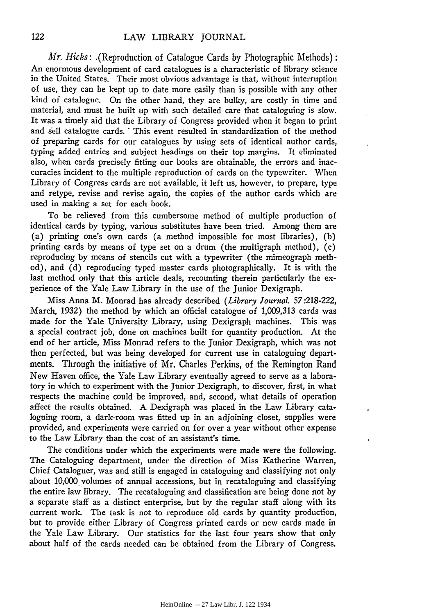*Mr. Hicks:* .(Reproduction of Catalogue Cards by Photographic Methods): An enormous development of card catalogues is a characteristic of library science in the United States. Their most obvious advantage is that, without interruption of use, they can be kept up to date more easily than is possible with any other kind of catalogue. On the other hand, they are bulky, are costly in time and material, and must be built up with such detailed care that cataloguing is slow. It was a timely aid that the Library of Congress provided when it began to print and sell catalogue cards. This event resulted in standardization of the method of preparing cards for our catalogues by using sets of identical author cards, typing added entries and subject headings on their top margins. It eliminated also, when cards precisely fitting our books are obtainable, the errors and inaccuracies incident to the multiple reproduction of cards on the typewriter. 'When Library of Congress cards are not available, it left us, however, to prepare, type and retype, revise and revise again, the copies of the author cards which are used in making a set for each book.

To be relieved from this cumbersome method of multiple production of identical cards by typing, various substitutes have been tried. Among them are (a) printing one's own cards (a method impossible for most libraries), (b) printing cards by means of type set on a drum (the multigraph method), (c) reproducing by means of stencils cut with a typewriter (the mimeograph method), and (d) reproducing typed master cards photographically. It is with the last method only that this article deals, recounting therein particularly the experience of the Yale Law Library in the use of the Junior Dexigraph.

Miss Anna M. Monrad has already described *(Library Journal.* 57 :218-222, March, 1932) the method by which an official catalogue of 1,009,313 cards was made for the Yale University Library, using Dexigraph machines. This was a special contract job, done on machines built for quantity production. At the end of her article, Miss Monrad refers to the Junior Dexigraph, which was not then perfected, but was being developed for current use in cataloguing departments. Through the initiative of Mr. Charles Perkins, of the Remington Rand New Haven office, the Yale Law Library eventually agreed to serve as a laboratory in which to experiment with the Junior Dexigraph, to discover, first, in what respects the machine could be improved, and, second, what details of operation affect the results obtained. A Dexigraph was placed in the Law Library cata· loguing room, a dark-room was fitted up in an adjoining closet, supplies were provided, and experiments were carried on for over a year without other expense to the Law Library than the cost of an assistant's time.

The conditions under which the experiments were made were the following. The Cataloguing department, under the direction of Miss Katherine Warren, Chief Cataloguer, was and still is engaged in cataloguing and classifying not only about 10,000 volumes of annual accessions, but in recataloguing and classifying the entire law library. The recataloguing and classification are being done not by a separate staff as a distinct enterprise, but by the regular staff along with its current work. The task is not to reproduce old cards by quantity production, but to provide either Library of Congress printed cards or new cards made in the Yale Law Library. Our statistics for the last four years show that only about half of the cards needed can be obtained from the Library of Congress.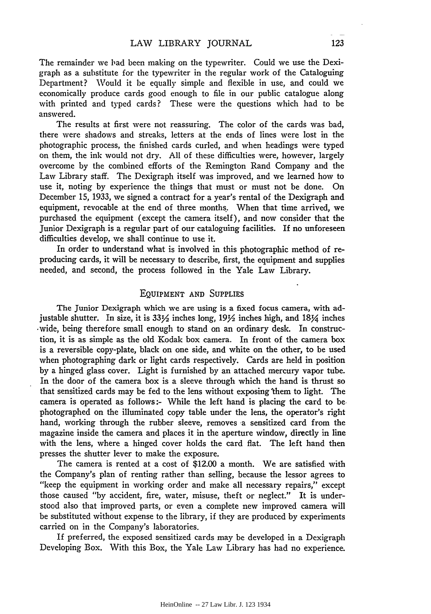The remainder we bad been making on the typewriter. Could we use the Dexigraph as a substitute for the typewriter in the regular work of the Cataloguing Department? Would it be equally simple and flexible in use, and could we economically produce cards good enough to file in our public catalogue along with printed and typed cards? These were the questions which had to be answered.

The results at first were not reassuring. The color of the cards was bad, there were shadows and streaks, letters at the ends of lines were lost in the photographic process, the finished cards curled, and when headings were typed on them, the ink would not dry. All of these difficulties were, however, largely overcome by the combined efforts of the Remington Rand Company and the Law Library staff. The Dexigraph itself was improved, and we learned how to use it, noting by experience the things that must or must not be done. On December 15, 1933, we signed a contract for a year's rental of the Dexigraph and equipment, revocable at the end of three months.. When that time arrived, we purchased the equipment (except the camera itself), and now consider that the Junior Dexigraph is a regular part of our cataloguing facilities. If no unforeseen difficulties develop, we shall continue to use it.

In order to understand what is involved in this photographic method of reproducing cards, it will be necessary to describe, first, the equipment and supplies needed, and second, the process followed in the Yale Law Library.

## EQUIPMENT AND SuPPLIES

The Junior Dexigraph which we are using is a fixed focus camera, with adjustable shutter. In size, it is  $33\frac{1}{2}$  inches long,  $19\frac{1}{2}$  inches high, and  $18\frac{1}{4}$  inches ·wide, being therefore small enough to stand on an ordinary desk. In construction, it is as simple as the old Kodak box camera. In front of the camera box is a reversible copy-plate, black on one side, and white on the other, to be used when photographing dark or light cards respectively. Cards are held in position by a hinged glass cover. Light is furnished by an attached mercury vapor tube. In the door of the camera box is a sleeve through which the hand is thrust so that sensitized cards may be fed to the lens without exposing 'them to light. The camera is operated as follows:- While the left hand is placing the card to bephotographed on the illuminated copy table under the lens, the operator's right hand, working through the rubber sleeve, removes a sensitized card from the magazine inside the camera and places it in the aperture window, directly in line with the lens, where a hinged cover holds the card flat. The left hand then presses the shutter lever to make the exposure.

The camera is rented at a cost of \$12.00 a month. We are satisfied with the Company's plan of renting rather than selling, because the lessor agrees to "keep the equipment in working order and make all necessary repairs," except those caused "by accident, fire, water, misuse, theft or neglect." It is understood also that improved parts, or even a complete new improved camera will be substituted without expense to the library, if they are produced by experiments carried on in the Company's laboratories.

If preferred, the exposed sensitized cards may be developed in a Dexigraph Developing Box. With this Box, the Yale Law Library has had no experience.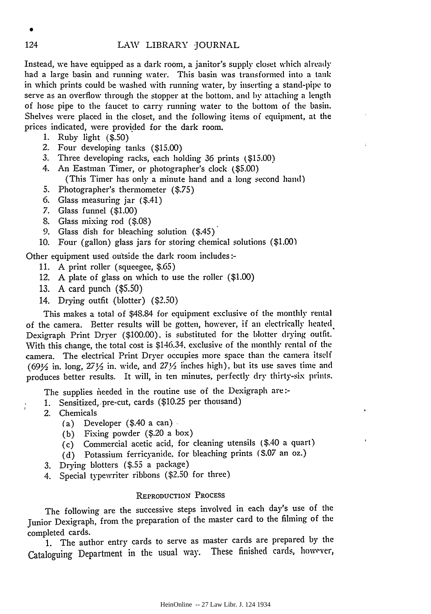Instead, we have equipped as a dark room, a janitor's supply closet which already had a large basin and running water. This basin was transformed into a tank in which prints could be washed with running water, by inserting a stand-pipe to serve as an overflow through the stopper at the bottom, and by attaching a length of hose pipe to the faucet to carry running water to the bottom of the basin. Shelves were placed in the closet, and the following items of equipment, at the prices indicated, were provided for the dark room.

- 1. Ruby light (\$.50)
- 2. Four developing tanks (\$15.00)
- 3. Three developing racks, each holding 36 prints { \$15.00)
- 4. An Eastman Timer, or photographer's clock (\$5.00)
	- (This Timer has only a minute hand and a long second hand)
- 5. Photographer's thermometer (\$.75)
- 6. Glass measuring jar ( \$.41)
- 7. Glass funnel (\$1.00)
- 8. Glass mixing rod (\$.08)
- 9. Glass dish for bleaching solution (\$.45)
- 10. Four (gallon) glass jars for storing chemical solutions (\$1.00)

Other equipment used outside the dark room includes:-

- 11. A print roller (squeegee, \$.65)
- 12. A plate of glass on which to use the roller (\$1.00)
- 13. A card punch (\$5.50)
- 14. Drying outfit (blotter) (\$2.50)

This makes a total of \$48.84 for equipment exclusive oi the monthly rental of the camera. Better results will be gotten, however, if an electrically heated. Dexigraph Print Dryer (\$100.00). is substituted for the blotter drying outfit. With this change, the total cost is \$146.34, exclusive of the monthly rental of the camera. The electrical Print Dryer occupies more space than the camera itsdi (69 $\frac{1}{2}$  in. long,  $27\frac{1}{2}$  in. wide, and  $27\frac{1}{2}$  inches high), but its use saves time and produces better results. It will, in ten minutes, perfectly dry thirty-six prints.

The supplies needed in the routine use of the Dexigraph are:-

- 1. Sensitized, pre-cut, cards (\$10.25 per thousand)
- 2. Chemicals

ĵ

- (a) Developer  $(\$.40$  a can).
- (b) Fixing powder (\$.20 a box)
- (c) Commercial acetic acid, for cleaning utensils ( \$.40 a quart)
- (d) Potassium ferricyanide. for bleaching prints *(* \$.07 an oz.)
- 3. Drying blotters (\$.55 a package)
- 4. Special typewriter ribbons (\$2.50 for three)

## REPRODUCTION PROCESS

The following are the successive steps involved in each day's usc of the Junior Dexigraph, from the preparation of the master card to the filming of the completed cards.

1. The author entry cards to serve as master cards are prepared by the Cataloguing Department in the usual way. These finished cards, however,

•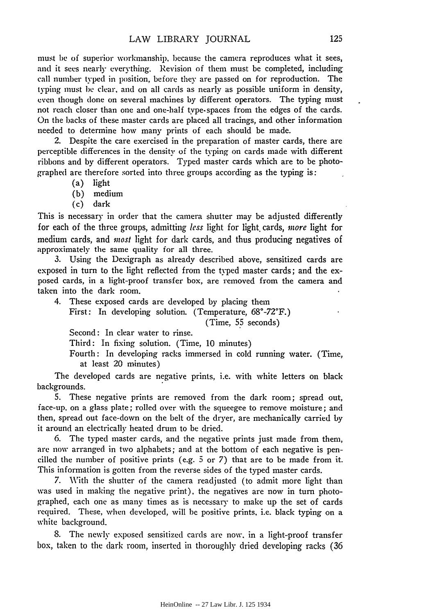must be of superior workmanship, because the camera reproduces what it sees, and it sees nearly everything. Revision of them must be completed, including call number typed in position, before they are passed on for reproduction. The typing must he clear, and on all cards as nearly as possible uniform in density, even though done on several machines by different operators. The typing must not reach closer than one and one-half type· spaces from the edges of the cards. On the backs of these master cards are placed all tracings, and other information needed to determine how many prints of each should be made.

2. Despite the care exercised in the preparation of master cards, there are perceptible differences in the density of the typing on cards made with different ribbons and by different operators. Typed master cards which are to be photographed are therefore sorted into three groups according as the typing is:

- (a) light
- (b) medium
- (c) dark

This is necessary in order that the camera shutter may be adjusted differently for each of the three groups, admitting *less* light for light. cards, *more* light for medium cards, and *most* light for dark cards, and thus producing negatives of approximately the same quality for all three.

3. Using the Dexigraph as already described above, sensitized cards are exposed in turn to the light reflected from the typed master cards; and the exposed cards, in a light-proof transfer box, are removed from the camera and taken into the dark room.

4. These exposed cards are developed by placing them First: In developing solution. (Temperature, 68°-72°F.) (Time, *5?* seconds) Second: In clear water to rinse.

Third: In fixing solution. (Time, 10 minutes)

Fourth: In developing racks immersed in cold running water. (Time, at least 20 minutes)

The developed cards are negative prints, i.e. with white letters on black backgrounds.

5. These negative prints are removed from the dark room; spread out, face-up, on a glass plate; rolled over with the squeegee to remove moisture; and then, spread out face-down on the belt of the dryer, are mechanically carried by it around an electrically heated drum to be dried.

6. The typed master cards, and the negative prints just made from them, arc now arranged in two alphabets; and at the bottom of each negative is pencilled the number of positive prints (e.g. *5* or 7) that are to be made from it. This information is gotten from the reverse sides of the typed master cards.

7. With the shutter of the camera readjusted (to admit more light than was used in making the negative print), the negatives are now in turn photographed, each one as many times as is necessary to make up the set of cards required. These, when developed, will be positive prints, i.e. black typing on a white background.

8. The newly exposed sensitized cards are now. in a light-proof transfer box, taken to the dark room, inserted in thoroughly dried developing racks (36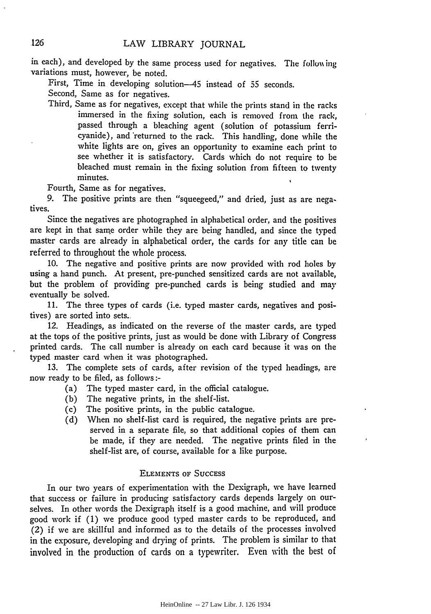in each), and developed by the same process used for negatives. The following variations must, however, be noted.

First, Time in developing solution-45 instead of 55 seconds.

Second, Same as for negatives.

Third, Same as for negatives, except that while the prints stand in the racks immersed in the fixing solution, each is removed from the rack, passed through a bleaching agent (solution of potassium terricyanide), and 'returned to the rack. This handling, done while the white lights are on, gives an opportunity to examine each print to see whether it is satisfactory. Cards which do not require to be bleached must remain in the fixing solution from fifteen to twenty minutes.

Fourth, Same as for negatives.

9. The positive prints are then "squeegeed," and dried, just as are negatives.

Since the negatives are photographed in alphabetical order, and the positives are kept in that same order while they are being handled, and since the typed master cards are already in alphabetical order, the cards for any title can be referred to throughout the whole process.

10. The negative and positive prints are now provided with rod holes by using a hand punch. At present, pre-punched sensitized cards are not available, but the problem of providing pre-punched cards is being studied and may eventually be solved.

11. The three types of cards (i.e. typed master cards, negatives and positives) are sorted into sets.

12. Headings, as indicated on the reverse of the master cards, are typed at the tops of the positive prints, just as would be done with Library of Congress printed cards. The call number is already on each card because it was on the typed master card when it was photographed.

13. The complete sets of cards, after revision of the typed headings, are now ready to be filed, as follows:-

- (a) The typed master card, in the official catalogue.
- (b) The negative prints, in the shelf-list.
- (c) The positive prints, in the public catalogue.
- (d) When no shelf-list card is required, the negative prints are preserved in a separate file, so that additional copies of them can be made, if they are needed. The negative prints filed in the shelf-list are, of course, available for a like purpose.

#### ELEMENTS oF SuccEss

In our two years of experimentation with the Dexigraph, we have learned that success or failure in producing satisfactory cards depends largely on ourselves. In other words the Dexigraph itself is a good machine, and will produce good work if ( 1) we produce good typed master cards to be reproduced, and (2) if we are skillful and informed as to the details of the processes involved in the exposure, developing and drying of prints. The problem is similar to that involved in the production of cards on a typewriter. Even with the best of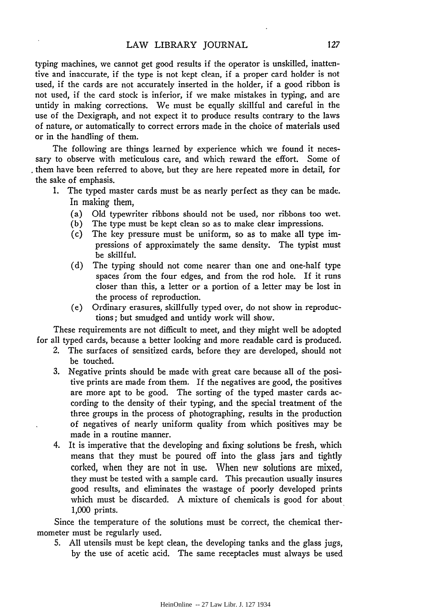typing machines, we cannot get good results if the operator is unskilled, inattentive and inaccurate, if the type is not kept clean, if a proper card holder is not used, if the cards are not accurately inserted in the holder, if a good ribbon is not used, if the card stock is inferior, if we make mistakes in typing, and are untidy in making corrections. We must be equally skillful and careful in the use of the Dexigraph, and not expect it to produce results contrary to the laws of nature, or automatically to correct errors made in the choice of materials used or in the handling of them.

The following are things learned by experience which we found it necessary to observe with meticulous care, and which reward the effort. Some of . them have been referred to above, but they are here repeated more in detail, for the sake of emphasis.

- 1. The typed master cards must be as nearly perfect as they can be made. In making them,
	- (a) Old typewriter ribbons should not be used, nor ribbons too wet.
	- (b) The type must be kept clean so as to make clear impressions.
	- (c) The key pressure must be uniform, so as to make all type impressions of approximately the same density. The typist must be skillful.
	- (d) The typing should not come nearer than one and one-half type spaces from the four edges, and from the rod hole. If it runs closer than this, a letter or a portion of a letter may be lost in the process of reproduction.
	- (e) Ordinary erasures, skillfully typed over, do not show in reproductions; but smudged and untidy work will show.

These requirements are not difficult to meet, and they might well be adopted for all typed cards, because a better looking and more readable card is produced.

- 2. The surfaces of sensitized cards, before they are developed, should not be touched.
- 3. Negative prints should be made with great care because all of the positive prints are made from them. If the negatives are good, the positives are more apt to be good. The sorting of the typed master cards according to the density of their typing, and the special treatment of the three groups in the process of photographing, results in the production of negatives of nearly uniform quality from which positives may be made in a routine manner.
- 4. It is imperative that the developing and fixing solutions be fresh, which means that they must be poured off into the glass jars and tightly corked, when they are not in use. When new solutions are mixed, they must be tested with a sample card. This precaution usually insures good results, and eliminates the wastage of poorly developed prints which must be discarded. A mixture of chemicals is good for about 1,000 prints.

Since the temperature of the solutions must be correct, the chemical thermometer must be regularly used.

5. All utensils must be kept clean, the developing tanks and the glass jugs, by the use of acetic acid. The same receptacles must always be used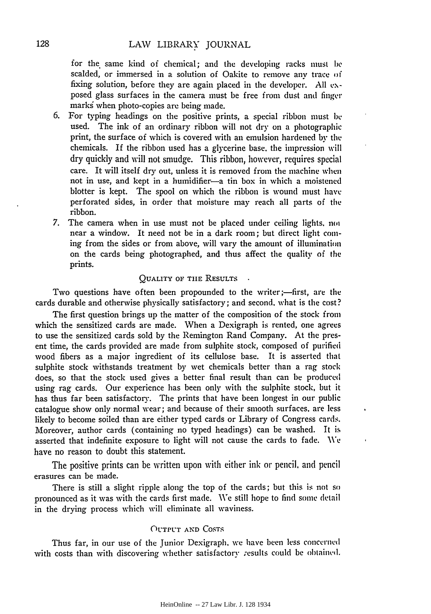for the same kind of chemical; and the developing racks must be scalded, or immersed in a solution of Oakite to remove any trace oi fixing solution, before they are again placed in the developer. All  $ex$ posed glass surfaces in the camera must be free from dust and finger marks when photo-copies are being made.

- 6. For typing headings on the positive prints, a special ribbon must be. used. The ink of an ordinary ribbon will not dry on a photographic print, the surface of which is covered with an emulsion hardened by the. chemicals. If the ribbon used has a glycerine base. the impression will dry quickly and \\'ill not smudge. This ribbon, however, requires special care. It will itself dry out, unless it is removed from the machine when not in use, and kept in a humidifier-a tin box in which a moistened blotter is kept. The spool on which the ribbon is wound must have perforated sides, in order that moisture may reach all parts of the ribbon.
- 7. The camera when in use must not be placed under ceiling lights, not near a window. It need not be in a dark room; but direct light coming from the sides or from above, will vary the amount of illumination on the cards being photographed, and thus affect the quality of the prints.

## QUALITY OF THE RESULTS

Two questions have often been propounded to the writer;--first, are the cards durable and otherwise physically satisfactory; and second. what is the cost?

The first question brings up the matter of the composition of the stock from which the sensitized cards are made. When a Dexigraph is rented, one agrees to use the sensitized cards sold by the Remington Rand Company. At the present time, the cards provided are made from sulphite stock, composed of purified wood fibers as a major ingredient of its cellulose base. It is asserted that sulphite stock withstands treatment by wet chemicals better than a rag stock does, so that the stock used gives a better final result than can be produced using rag cards. Our experience has been only with the sulphite stock, but it has thus far been satisfactory. The prints that have been longest in our public catalogue show only normal wear; and because of their smooth surfaces. are less likely to become soiled than are either typed cards or Library of Congress cards. Moreover, author cards (containing no typed headings) can be washed. It is asserted that indefinite exposure to light will not cause the cards to fade. We have no reason to doubt this statement.

The positive prints can be written upon with either ink or pencil. and pencil erasures can be made.

There is still a slight ripple along the top of the cards; but this is not so pronounced as it was with the cards first made. We still hope to find some detail in the drying process which will eliminate all waviness.

#### OUTPUT AND COSTS

Thus far, in our use of the Junior Dexigraph, we have been less concerned with costs than with discovering whether satisfactory results could be obtained.  $\ddot{\phantom{0}}$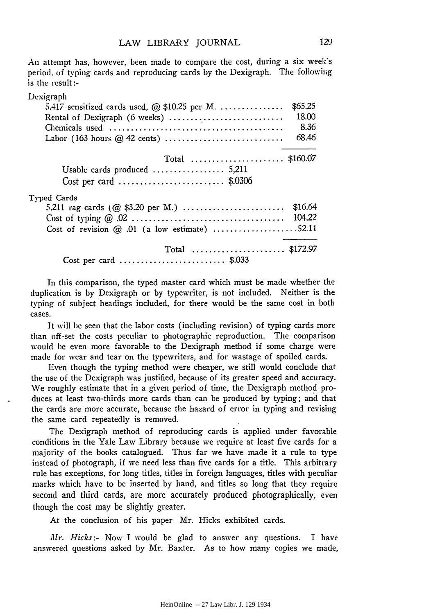An attempt has, however, been made to compare the cost, during a six week's period. oi typing cards and reproducing cards by the Dexigraph. The following is the result:-

| Dexigraph                                                         |         |
|-------------------------------------------------------------------|---------|
| 5.417 sensitized cards used, $\omega$ \$10.25 per M.              | \$65.25 |
| Rental of Dexigraph (6 weeks)                                     | 18.00   |
|                                                                   | 8.36    |
|                                                                   | 68.46   |
| Total \$160.07                                                    |         |
| Usable cards produced  5,211                                      |         |
| Cost per card $\ldots \ldots \ldots \ldots \ldots \ldots$ \$.0306 |         |
| Typed Cards                                                       |         |
|                                                                   | \$16.64 |
|                                                                   |         |
| Cost of revision $@.01$ (a low estimate) 52.11                    |         |
| Total  \$172.97                                                   |         |
| Cost per card \$.033                                              |         |

In this comparison, the typed master card which must be made whether the duplication is by Dexigraph or by typewriter, is not included. Neither is the typing oi subject headings included, for there would be the same cost in both cases.

It will be seen that the labor costs (including revision) of typing cards more than off-set the costs peculiar to photographic reproduction. The comparison would be even more favorable to the Dexigraph method if some charge were made for wear and tear on the typewriters, and for wastage of spoiled cards.

Even though the typing method were cheaper, we still would conclude that the use of the Dexigraph was justified, because of its greater speed and accuracy. We roughly estimate that in a given period of time, the Dexigraph method produces at least two-thirds more cards than can be produced by typing; and that the cards are more accurate, because the hazard of error in typing and revising the same card repeatedly is removed.

The Dexigraph method of reproducing cards is applied under favorable conditions in the Yale Law Library because we require at least five cards for a majority of the books catalogued. Thus far we have made it a rule to type instead of photograph, if we need less than five cards for a title. This arbitrary rule has exceptions, for long titles, titles in foreign languages, titles with peculiar marks which have to be inserted by hand, and titles so long that they require second and third cards, are more accurately produced photographically, even though the cost may be slightly greater.

At the conclusion of his paper Mr. Hicks exhibited cards.

*Mr. Hicks:-* Now I would be glad to answer any questions. I have answered questions asked by Mr. Baxter. As to how many copies we made,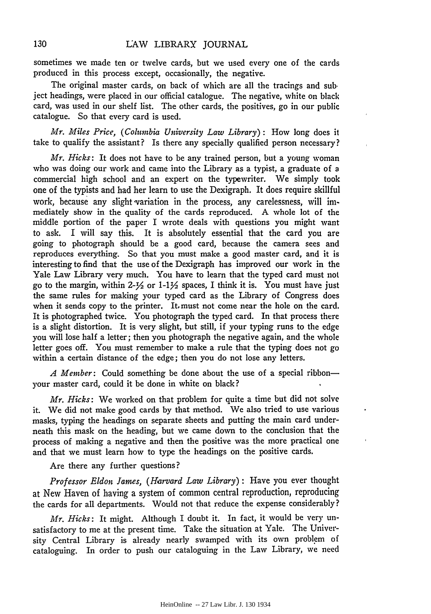sometimes we made ten or twelve cards, but we used *every* one of the cards produced in this process except, occasionally, the negative.

The original master cards, on back of which are all the tracings and subject headings, were placed in our official catalogue. The negative, white on black card, was used in our shelf list. The other cards, the positives, go in our public catalogue. So that *every* card is used.

*Mr. Miles Price, (Columbia University Law Library):* How long does it take to qualify the assistant? Is there any specially qualified person necessary?

*Mr. Hicks:* It does not have to be any trained person, but a young woman who was doing our work and came into the Library as a typist, a graduate of a commercial high school and an expert on the typewriter. We simply took one of the typists and had her learn to use the Dexigraph. It does require skillful work, because any slight variation in the process, any carelessness, will immediately show in the quality of the cards reproduced. A whole lot of the middle portion of the paper I wrote deals with questions you might want to ask. I will say this. It is absolutely essential that the card you are going to photograph should be a good card, because the camera sees and reproduces everything. So that you must make a good master card, and it is interesting to find that the use of the Dexigraph has improved our work in the Yale Law Library very much. You have to learn that the typed card must not go to the margin, within  $2-\frac{1}{2}$  or  $1-\frac{1}{2}$  spaces, I think it is. You must have just the same rules for making your typed card as the Library of Congress does when it sends copy to the printer. It must not come near the hole on the card. It is photographed twice. You photograph the typed card. In that process there is a slight distortion. It is very slight, but still, if your typing runs to the edge you will lose half a letter; then you photograph the negative again, and the whole letter goes off. You must remember to make a rule that the typing does not go within a certain distance of the edge; then you do not lose any letters.

*A Member:* Could something be done about the use of a special ribbonyour master card, could it be done in white on black?

*Mr. Hicks:* We worked on that problem for quite a time but did not solve it. We did not make good cards by that method. We also tried to use various masks, typing the headings on separate sheets and putting the main card underneath this mask on the heading, but we came down to the conclusion that the process of making a negative and then the positive was the more practical one and that we must learn how to type the headings on the positive cards.

Are there any further questions?

*Professor Eldon James, (Harvard Law Library)* : Have you ever thought at New Haven of having a system of common central reproduction, reproducing the cards for all departments. Would not that reduce the expense considerably?

*Mr. Hicks:* It might. Although I doubt it. In fact, it would be very unsatisfactory to me at the present time. Take the situation at Yale. The University Central Library is already nearly swamped with its own problem of cataloguing. In order to push our cataloguing in the Law Library, we need